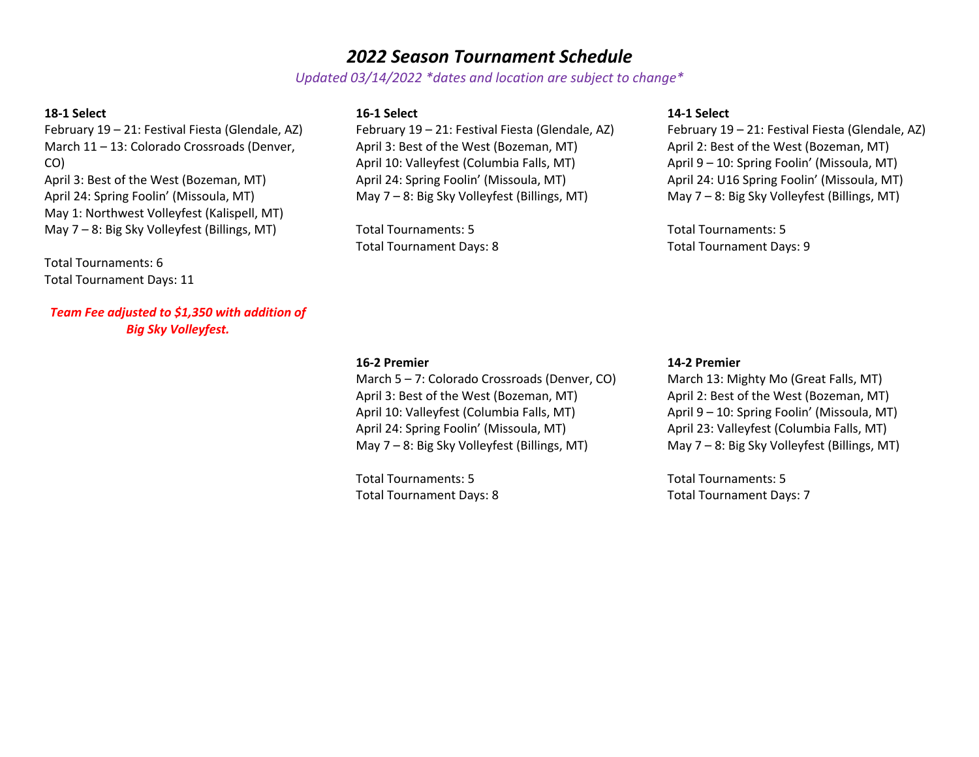# *2022 Season Tournament Schedule*

*Updated 03/14/2022 \*dates and location are subject to change\**

## **18-1 Select**

February 19 – 21: Festival Fiesta (Glendale, AZ) March 11 – 13: Colorado Crossroads (Denver, CO) April 3: Best of the West (Bozeman, MT) April 24: Spring Foolin' (Missoula, MT) May 1: Northwest Volleyfest (Kalispell, MT) May 7 – 8: Big Sky Volleyfest (Billings, MT)

Total Tournaments: 6 Total Tournament Days: 11

*Team Fee adjusted to \$1,350 with addition of Big Sky Volleyfest.*

## **16-1 Select**

February 19 – 21: Festival Fiesta (Glendale, AZ) April 3: Best of the West (Bozeman, MT) April 10: Valleyfest (Columbia Falls, MT) April 24: Spring Foolin' (Missoula, MT) May 7 – 8: Big Sky Volleyfest (Billings, MT)

Total Tournaments: 5 Total Tournament Days: 8

## **14-1 Select**

February 19 – 21: Festival Fiesta (Glendale, AZ) April 2: Best of the West (Bozeman, MT) April 9 – 10: Spring Foolin' (Missoula, MT) April 24: U16 Spring Foolin' (Missoula, MT) May 7 – 8: Big Sky Volleyfest (Billings, MT)

Total Tournaments: 5 Total Tournament Days: 9

## **16-2 Premier**

March 5 – 7: Colorado Crossroads (Denver, CO) April 3: Best of the West (Bozeman, MT) April 10: Valleyfest (Columbia Falls, MT) April 24: Spring Foolin' (Missoula, MT) May 7 – 8: Big Sky Volleyfest (Billings, MT)

Total Tournaments: 5 Total Tournament Days: 8

#### **14-2 Premier**

March 13: Mighty Mo (Great Falls, MT) April 2: Best of the West (Bozeman, MT) April 9 – 10: Spring Foolin' (Missoula, MT) April 23: Valleyfest (Columbia Falls, MT) May 7 – 8: Big Sky Volleyfest (Billings, MT)

Total Tournaments: 5 Total Tournament Days: 7